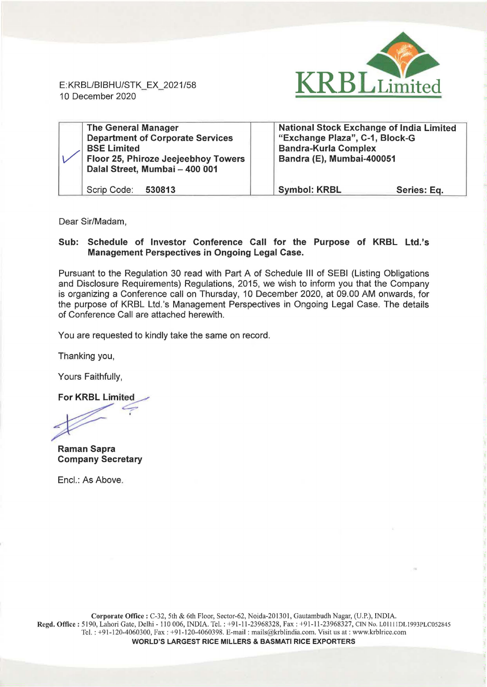

E: KRBL/BIBHU/STK\_EX\_2021/58 10 December 2020

| <b>The General Manager</b><br><b>Department of Corporate Services</b><br><b>BSE Limited</b><br>Floor 25, Phiroze Jeejeebhoy Towers<br>Dalal Street, Mumbai - 400 001 | <b>National Stock Exchange of India Limited</b><br>"Exchange Plaza", C-1, Block-G<br><b>Bandra-Kurla Complex</b><br>Bandra (E), Mumbai-400051 |             |
|----------------------------------------------------------------------------------------------------------------------------------------------------------------------|-----------------------------------------------------------------------------------------------------------------------------------------------|-------------|
| Scrip Code:<br>530813                                                                                                                                                | <b>Symbol: KRBL</b>                                                                                                                           | Series: Eq. |

Dear Sir/Madam,

## Sub: Schedule of Investor Conference Call for the Purpose of KRBL Ltd.'s Management Perspectives in Ongoing Legal Case.

Pursuant to the Regulation 30 read with Part A of Schedule Ill of SEBI (Listing Obligations and Disclosure Requirements) Regulations, 2015, we wish to inform you that the Company is organizing a Conference call on Thursday, 10 December 2020, at 09.00 AM onwards, for the purpose of KRBL Ltd.'s Management Perspectives in Ongoing Legal Case. The details of Conference Call are attached herewith.

You are requested to kindly take the same on record.

Thanking you,

Yours Faithfully,

**For KRBL Limited** 

Raman Sapra Company Secretary

Encl.: As Above.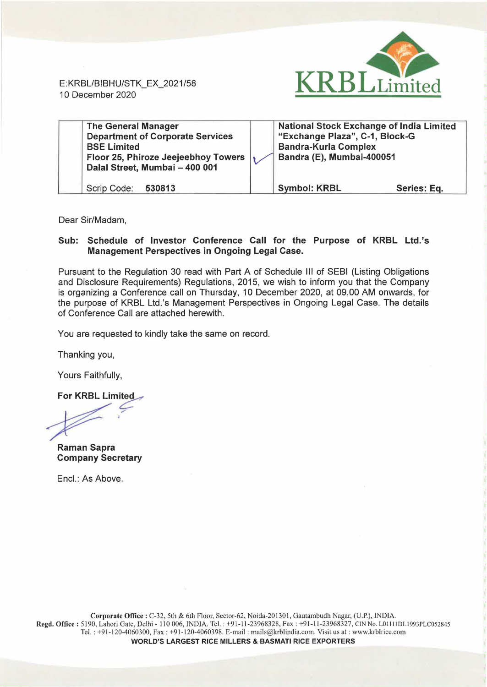

E: KRBL/BI BHU/STK\_EX\_2021/58 10 December 2020

| <b>The General Manager</b><br><b>Department of Corporate Services</b><br><b>BSE Limited</b><br>Floor 25, Phiroze Jeejeebhoy Towers<br>Dalal Street, Mumbai - 400 001 | <b>National Stock Exchange of India Limited</b><br>"Exchange Plaza", C-1, Block-G<br><b>Bandra-Kurla Complex</b><br>Bandra (E), Mumbai-400051 |             |
|----------------------------------------------------------------------------------------------------------------------------------------------------------------------|-----------------------------------------------------------------------------------------------------------------------------------------------|-------------|
| Scrip Code: 530813                                                                                                                                                   | <b>Symbol: KRBL</b>                                                                                                                           | Series: Eq. |

Dear Sir/Madam,

## Sub: Schedule of Investor Conference Call for the Purpose of KRBL Ltd.'s Management Perspectives in Ongoing Legal Case.

Pursuant to the Regulation 30 read with Part A of Schedule 111 of SEBI (Listing Obligations and Disclosure Requirements) Regulations, 2015, we wish to inform you that the Company is organizing a Conference call on Thursday, 10 December 2020, at 09.00 AM onwards, for the purpose of KRBL Ltd. 's Management Perspectives in Ongoing Legal Case. The details of Conference Call are attached herewith.

You are requested to kindly take the same on record.

Thanking you,

Yours Faithfully,

For KRBL Limited  $\rightarrow$ 

.~

Raman Sapra Company Secretary

Encl.: As Above.